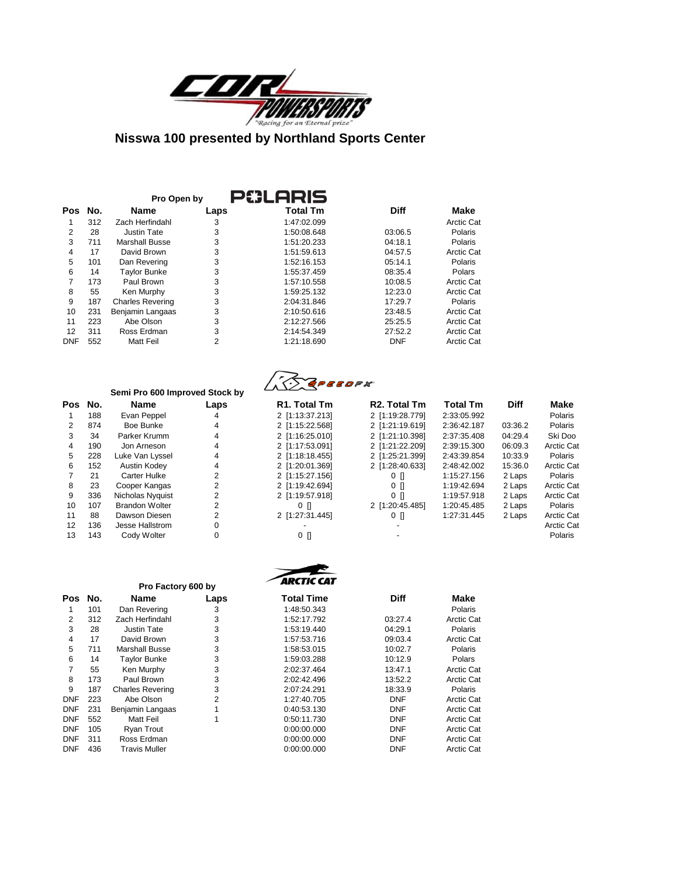

|            | P#LARIS<br>Pro Open by |                         |      |                 |             |            |  |  |  |
|------------|------------------------|-------------------------|------|-----------------|-------------|------------|--|--|--|
| <b>Pos</b> | No.                    | Name                    | Laps | <b>Total Tm</b> | <b>Diff</b> | Make       |  |  |  |
|            | 312                    | Zach Herfindahl         | 3    | 1:47:02.099     |             | Arctic Cat |  |  |  |
| 2          | 28                     | Justin Tate             | 3    | 1:50:08.648     | 03:06.5     | Polaris    |  |  |  |
| 3          | 711                    | <b>Marshall Busse</b>   | 3    | 1:51:20.233     | 04:18.1     | Polaris    |  |  |  |
| 4          | 17                     | David Brown             | 3    | 1:51:59.613     | 04:57.5     | Arctic Cat |  |  |  |
| 5          | 101                    | Dan Revering            | 3    | 1:52:16.153     | 05:14.1     | Polaris    |  |  |  |
| 6          | 14                     | <b>Taylor Bunke</b>     | 3    | 1:55:37.459     | 08:35.4     | Polars     |  |  |  |
| 7          | 173                    | Paul Brown              | 3    | 1:57:10.558     | 10:08.5     | Arctic Cat |  |  |  |
| 8          | 55                     | Ken Murphy              | 3    | 1:59:25.132     | 12:23.0     | Arctic Cat |  |  |  |
| 9          | 187                    | <b>Charles Revering</b> | 3    | 2:04:31.846     | 17:29.7     | Polaris    |  |  |  |
| 10         | 231                    | Benjamin Langaas        | 3    | 2:10:50.616     | 23:48.5     | Arctic Cat |  |  |  |
| 11         | 223                    | Abe Olson               | 3    | 2:12:27.566     | 25:25.5     | Arctic Cat |  |  |  |
| 12         | 311                    | Ross Erdman             | 3    | 2:14:54.349     | 27:52.2     | Arctic Cat |  |  |  |
| <b>DNF</b> | 552                    | Matt Feil               | 2    | 1:21:18.690     | <b>DNF</b>  | Arctic Cat |  |  |  |

# **Semi Pro 600 Improved Stock by**

| Pos | No. | Name                  | La |
|-----|-----|-----------------------|----|
| 1   | 188 | Evan Peppel           |    |
| 2   | 874 | Boe Bunke             |    |
| 3   | 34  | Parker Krumm          | 4  |
| 4   | 190 | Jon Arneson           | 4  |
| 5   | 228 | Luke Van Lyssel       | 4  |
| 6   | 152 | <b>Austin Kodey</b>   | 4  |
| 7   | 21  | Carter Hulke          | 2  |
| 8   | 23  | Cooper Kangas         | 2  |
| 9   | 336 | Nicholas Nyquist      | 2  |
| 10  | 107 | <b>Brandon Wolter</b> | 2  |
| 11  | 88  | Dawson Diesen         | 2  |
| 12  | 136 | Jesse Hallstrom       | C  |
| 13  | 143 | Cody Wolter           | C  |



 $\rightarrow$ 

| No. | <b>Name</b>           | Laps | R <sub>1</sub> . Total Tm | R <sub>2</sub> . Total Tm | <b>Total Tm</b> | Diff    | Make              |
|-----|-----------------------|------|---------------------------|---------------------------|-----------------|---------|-------------------|
| 188 | Evan Peppel           |      | 2 [1:13:37.213]           | 2 [1:19:28.779]           | 2:33:05.992     |         | Polaris           |
| 874 | Boe Bunke             |      | 2 [1:15:22.568]           | 2 [1:21:19.619]           | 2:36:42.187     | 03:36.2 | Polaris           |
| 34  | Parker Krumm          | 4    | 2 [1:16:25.010]           | 2 [1:21:10.398]           | 2:37:35.408     | 04:29.4 | Ski Doo           |
| 190 | Jon Arneson           |      | 2 [1:17:53.091]           | 2 [1:21:22.209]           | 2:39:15.300     | 06:09.3 | Arctic Cat        |
| 228 | Luke Van Lvssel       |      | 2 [1:18:18.455]           | 2 [1:25:21.399]           | 2:43:39.854     | 10:33.9 | <b>Polaris</b>    |
| 152 | Austin Kodev          |      | 2 [1:20:01.369]           | 2 [1:28:40.633]           | 2:48:42.002     | 15:36.0 | Arctic Cat        |
| 21  | <b>Carter Hulke</b>   |      | 2 [1:15:27.156]           | 0 N                       | 1:15:27.156     | 2 Laps  | Polaris           |
| 23  | Cooper Kangas         |      | 2 [1:19:42.694]           | $0$ []                    | 1:19:42.694     | 2 Laps  | <b>Arctic Cat</b> |
| 336 | Nicholas Nyquist      |      | 2 [1:19:57.918]           | $0$ $\Box$                | 1:19:57.918     | 2 Laps  | Arctic Cat        |
| 107 | <b>Brandon Wolter</b> |      | oп                        | 2 [1:20:45.485]           | 1:20:45.485     | 2 Laps  | Polaris           |
| 88  | Dawson Diesen         | 2    | 2 [1.27.31.445]           | $0$ []                    | 1:27:31.445     | 2 Laps  | <b>Arctic Cat</b> |
| 136 | Jesse Hallstrom       |      |                           |                           |                 |         | Arctic Cat        |
| 143 | Cody Wolter           |      | 0 N                       |                           |                 |         | Polaris           |
|     |                       |      |                           |                           |                 |         |                   |

|            |     |                         |      | <b>ARCTIC CAT</b> |             |            |
|------------|-----|-------------------------|------|-------------------|-------------|------------|
|            |     | Pro Factory 600 by      |      |                   |             |            |
| Pos        | No. | Name                    | Laps | <b>Total Time</b> | <b>Diff</b> | Make       |
|            | 101 | Dan Revering            | 3    | 1:48:50.343       |             | Polaris    |
| 2          | 312 | Zach Herfindahl         | 3    | 1:52:17.792       | 03:27.4     | Arctic Cat |
| 3          | 28  | <b>Justin Tate</b>      | 3    | 1:53:19.440       | 04:29.1     | Polaris    |
| 4          | 17  | David Brown             | 3    | 1:57:53.716       | 09:03.4     | Arctic Cat |
| 5          | 711 | <b>Marshall Busse</b>   | 3    | 1:58:53.015       | 10:02.7     | Polaris    |
| 6          | 14  | <b>Taylor Bunke</b>     | 3    | 1:59:03.288       | 10:12.9     | Polars     |
| 7          | 55  | Ken Murphy              | 3    | 2:02:37.464       | 13:47.1     | Arctic Cat |
| 8          | 173 | Paul Brown              | 3    | 2:02:42.496       | 13:52.2     | Arctic Cat |
| 9          | 187 | <b>Charles Revering</b> | 3    | 2:07:24.291       | 18:33.9     | Polaris    |
| <b>DNF</b> | 223 | Abe Olson               | 2    | 1:27:40.705       | <b>DNF</b>  | Arctic Cat |
| <b>DNF</b> | 231 | Benjamin Langaas        |      | 0:40:53.130       | <b>DNF</b>  | Arctic Cat |
| <b>DNF</b> | 552 | Matt Feil               |      | 0:50:11.730       | <b>DNF</b>  | Arctic Cat |
| <b>DNF</b> | 105 | Ryan Trout              |      | 0:00:00.000       | <b>DNF</b>  | Arctic Cat |
| <b>DNF</b> | 311 | Ross Erdman             |      | 0:00:00.000       | <b>DNF</b>  | Arctic Cat |
| <b>DNF</b> | 436 | Travis Muller           |      | 0:00:00.000       | <b>DNF</b>  | Arctic Cat |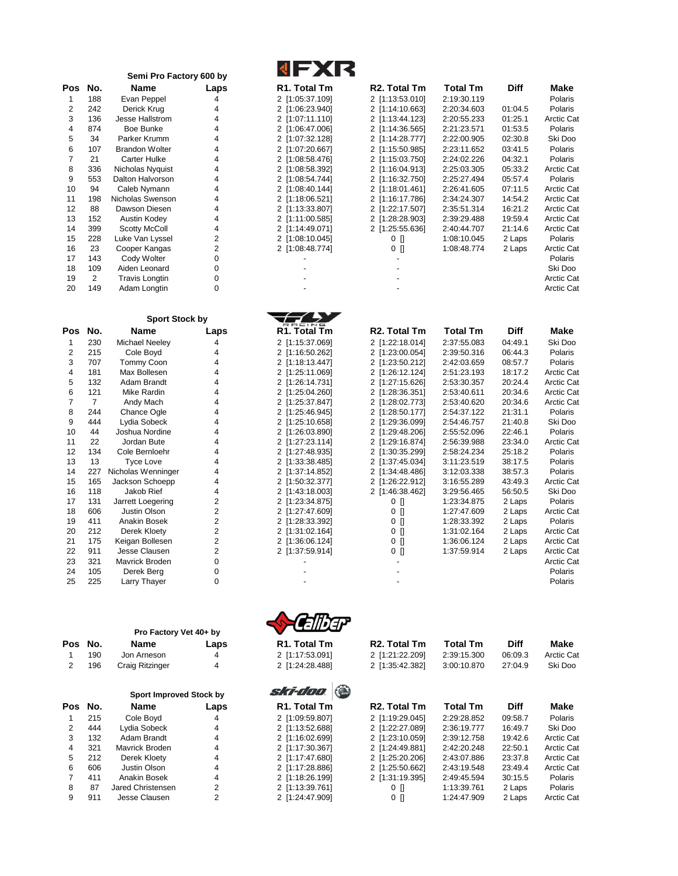|                |                | Semi Pro Factory 600 by               |                         | <b>NFXR</b>               |                           |                 |             |                          |
|----------------|----------------|---------------------------------------|-------------------------|---------------------------|---------------------------|-----------------|-------------|--------------------------|
| <b>Pos</b>     | No.            | Name                                  | Laps                    | R1. Total Tm              | R <sub>2</sub> . Total Tm | <b>Total Tm</b> | <b>Diff</b> | Make                     |
| 1              | 188            | Evan Peppel                           | 4                       | 2 [1:05:37.109]           | 2 [1:13:53.010]           | 2:19:30.119     |             | Polaris                  |
| 2              | 242            | Derick Krug                           | 4                       | 2 [1:06:23.940]           | 2 [1:14:10.663]           | 2:20:34.603     | 01:04.5     | Polaris                  |
| 3              | 136            | Jesse Hallstrom                       | 4                       | 2 [1:07:11.110]           | 2 [1:13:44.123]           | 2:20:55.233     | 01:25.1     | Arctic Cat               |
| 4              | 874            | <b>Boe Bunke</b>                      | 4                       | 2 [1:06:47.006]           | 2 [1:14:36.565]           | 2:21:23.571     | 01:53.5     | Polaris                  |
| 5              | 34             | Parker Krumm                          | 4                       | 2 [1:07:32.128]           | 2 [1:14:28.777]           | 2:22:00.905     | 02:30.8     | Ski Doo                  |
| 6              | 107            | <b>Brandon Wolter</b>                 | 4                       | 2 [1:07:20.667]           | 2 [1:15:50.985]           | 2:23:11.652     | 03:41.5     | Polaris                  |
| $\overline{7}$ | 21             | <b>Carter Hulke</b>                   | 4                       | 2 [1:08:58.476]           | 2 [1:15:03.750]           | 2:24:02.226     | 04:32.1     | Polaris                  |
| 8              | 336            | Nicholas Nyquist                      | 4                       | 2 [1:08:58.392]           | 2 [1:16:04.913]           | 2:25:03.305     | 05:33.2     | Arctic Cat               |
| 9              | 553            | Dalton Halvorson                      | 4                       | 2 [1:08:54.744]           | 2 [1:16:32.750]           | 2:25:27.494     | 05:57.4     | Polaris                  |
| 10             | 94             | Caleb Nymann                          | 4                       | 2 [1:08:40.144]           | 2 [1:18:01.461]           | 2:26:41.605     | 07:11.5     | Arctic Cat               |
| 11             | 198            | Nicholas Swenson                      | 4                       | 2 [1:18:06.521]           | 2 [1:16:17.786]           | 2:34:24.307     | 14:54.2     | Arctic Cat               |
| 12             | 88             | Dawson Diesen                         | 4                       | 2 [1:13:33.807]           | 2 [1:22:17.507]           | 2:35:51.314     | 16:21.2     | Arctic Cat               |
| 13             | 152            | Austin Kodey                          | 4                       | 2 [1:11:00.585]           | 2 [1:28:28.903]           | 2:39:29.488     | 19:59.4     | Arctic Cat               |
| 14             | 399            | <b>Scotty McColl</b>                  | 4                       | 2 [1:14:49.071]           | 2 [1:25:55.636]           | 2:40:44.707     | 21:14.6     | Arctic Cat               |
| 15             | 228            | Luke Van Lyssel                       | 2                       | 2 [1:08:10.045]           | $0$ []                    | 1:08:10.045     | 2 Laps      | Polaris                  |
| 16             | 23             | Cooper Kangas                         | 2                       | 2 [1:08:48.774]           | 0 []                      | 1:08:48.774     | 2 Laps      | Arctic Cat               |
| 17             | 143            | Cody Wolter                           | 0                       |                           |                           |                 |             | Polaris                  |
| 18<br>19       | 109<br>2       | Aiden Leonard                         | 0                       |                           |                           |                 |             | Ski Doo                  |
| 20             | 149            | <b>Travis Longtin</b><br>Adam Longtin | 0<br>0                  |                           |                           |                 |             | Arctic Cat<br>Arctic Cat |
|                |                |                                       |                         |                           |                           |                 |             |                          |
|                |                | <b>Sport Stock by</b>                 |                         |                           |                           |                 |             |                          |
| Pos            | No.            | Name                                  | Laps                    | R1. Total Tm              | R <sub>2</sub> . Total Tm | <b>Total Tm</b> | <b>Diff</b> | Make                     |
| 1              | 230            | Michael Neeley                        | 4                       | 2 [1:15:37.069]           | 2 [1:22:18.014]           | 2:37:55.083     | 04:49.1     | Ski Doo                  |
| 2              | 215            | Cole Boyd                             | 4                       | 2 [1:16:50.262]           | 2 [1:23:00.054]           | 2:39:50.316     | 06:44.3     | Polaris                  |
| 3              | 707            | Tommy Coon                            | 4                       | 2 [1:18:13.447]           | 2 [1:23:50.212]           | 2:42:03.659     | 08:57.7     | Polaris                  |
| 4              | 181            | Max Bollesen                          | 4                       | 2 [1:25:11.069]           | 2 [1:26:12.124]           | 2:51:23.193     | 18:17.2     | <b>Arctic Cat</b>        |
| 5              | 132            | Adam Brandt                           | 4                       | 2 [1:26:14.731]           | 2 [1:27:15.626]           | 2:53:30.357     | 20:24.4     | Arctic Cat               |
| 6              | 121            | Mike Rardin                           | 4                       | 2 [1:25:04.260]           | 2 [1:28:36.351]           | 2:53:40.611     | 20:34.6     | <b>Arctic Cat</b>        |
| 7              | $\overline{7}$ | Andy Mach                             | 4                       | 2 [1:25:37.847]           | 2 [1:28:02.773]           | 2:53:40.620     | 20:34.6     | <b>Arctic Cat</b>        |
| 8              | 244            | Chance Ogle                           | 4                       | 2 [1:25:46.945]           | 2 [1:28.50.177]           | 2:54:37.122     | 21:31.1     | Polaris                  |
| 9              | 444            | Lydia Sobeck                          | 4                       | 2 [1:25:10.658]           | 2 [1:29:36.099]           | 2:54:46.757     | 21:40.8     | Ski Doo                  |
| 10             | 44             | Joshua Nordine                        | 4                       | 2 [1:26:03.890]           | 2 [1:29:48.206]           | 2:55:52.096     | 22:46.1     | Polaris                  |
| 11             | 22             | Jordan Bute                           | 4                       | 2 [1:27:23.114]           | 2 [1:29:16.874]           | 2:56:39.988     | 23:34.0     | <b>Arctic Cat</b>        |
| 12             | 134            | Cole Bernloehr                        | 4                       | 2 [1:27:48.935]           | 2 [1:30:35.299]           | 2:58:24.234     | 25:18.2     | Polaris                  |
| 13             | 13             | <b>Tyce Love</b>                      | 4                       | 2 [1:33:38.485]           | 2 [1:37:45.034]           | 3:11:23.519     | 38:17.5     | Polaris                  |
| 14             | 227            | Nicholas Wenninger                    | 4                       | 2 [1:37:14.852]           | 2 [1:34:48.486]           | 3:12:03.338     | 38:57.3     | Polaris                  |
| 15             | 165            | Jackson Schoepp                       | 4                       | 2 [1:50:32.377]           | 2 [1:26:22.912]           | 3:16:55.289     | 43:49.3     | <b>Arctic Cat</b>        |
| 16             | 118            | Jakob Rief                            | 4                       | 2 [1:43:18.003]           | 2 [1:46:38.462]           | 3:29:56.465     | 56:50.5     | Ski Doo                  |
| 17             | 131            | Jarrett Loegering                     | $\overline{\mathbf{c}}$ | 2 [1:23:34.875]           | $0$ []                    | 1:23:34.875     | 2 Laps      | Polaris                  |
| 18             | 606            | <b>Justin Olson</b>                   | $\overline{\mathbf{c}}$ | 2 [1:27:47.609]           | $0$ []                    | 1:27:47.609     | 2 Laps      | Arctic Cat               |
| 19             | 411            | Anakin Bosek                          | $\overline{\mathbf{c}}$ | 2 [1:28:33.392]           | $0$ []                    | 1:28:33.392     | 2 Laps      | Polaris                  |
| 20             | 212            | Derek Kloety                          | $\overline{\mathbf{c}}$ | 2 [1:31:02.164]           | $0$ []                    | 1:31:02.164     | 2 Laps      | Arctic Cat               |
| 21             | 175            | Keigan Bollesen                       | $\overline{c}$          | 2 [1:36:06.124]           | $0$ []                    | 1:36:06.124     | 2 Laps      | Arctic Cat               |
| 22             | 911            | Jesse Clausen                         | 2                       | 2 [1:37:59.914]           | $0$ []                    | 1:37:59.914     | 2 Laps      | Arctic Cat               |
| 23             | 321            | Mavrick Broden                        | 0                       |                           |                           |                 |             | <b>Arctic Cat</b>        |
| 24<br>25       | 105<br>225     | Derek Berg                            | 0<br>0                  |                           |                           |                 |             | Polaris<br>Polaris       |
|                |                | Larry Thayer                          |                         |                           |                           |                 |             |                          |
|                |                |                                       |                         |                           |                           |                 |             |                          |
|                |                | Pro Factory Vet 40+ by                |                         |                           |                           |                 |             |                          |
| Pos            | No.            | Name                                  | Laps                    | R1. Total Tm              | R <sub>2</sub> . Total Tm | <b>Total Tm</b> | <b>Diff</b> | Make                     |
| 1              | 190            | Jon Arneson                           | 4                       | 2 [1:17:53.091]           | 2 [1:21:22.209]           | 2:39:15.300     | 06:09.3     | <b>Arctic Cat</b>        |
| 2              | 196            | Craig Ritzinger                       | 4                       | 2 [1:24:28.488]           | 2 [1:35:42.382]           | 3:00:10.870     | 27:04.9     | Ski Doo                  |
|                |                |                                       |                         |                           |                           |                 |             |                          |
|                |                | Sport Improved Stock by               |                         | ski-doo                   |                           |                 |             |                          |
| Pos No.        |                | Name                                  | Laps                    | R <sub>1</sub> . Total Tm | R <sub>2</sub> . Total Tm | <b>Total Tm</b> | <b>Diff</b> | Make                     |
| 1              | 215            | Cole Boyd                             | 4                       | 2 [1:09:59.807]           | 2 [1:19:29.045]           | 2:29:28.852     | 09:58.7     | Polaris                  |
| 2              | 444            | Lydia Sobeck                          | 4                       | 2 [1:13:52.688]           | 2 [1:22:27.089]           | 2:36:19.777     | 16:49.7     | Ski Doo                  |
| 3              | 132            | Adam Brandt                           | 4                       | 2 [1:16:02.699]           | 2 [1:23:10.059]           | 2:39:12.758     | 19:42.6     | Arctic Cat               |
| 4              | 321            | Mavrick Broden                        | 4                       | 2 [1:17:30.367]           | 2 [1:24:49.881]           | 2:42:20.248     | 22:50.1     | Arctic Cat               |
| 5              | 212            | Derek Kloety                          | 4                       | 2 [1:17:47.680]           | 2 [1:25:20.206]           | 2:43:07.886     | 23:37.8     | Arctic Cat               |
| 6              | 606            | Justin Olson                          | 4                       | 2 [1:17:28.886]           | 2 [1:25:50.662]           | 2:43:19.548     | 23:49.4     | Arctic Cat               |
| 7              | 411            | Anakin Bosek                          | 4                       | 2 [1:18:26.199]           | 2 [1:31:19.395]           | 2:49:45.594     | 30:15.5     | Polaris                  |
| 8              | 87             | Jared Christensen                     | 2                       | 2 [1:13:39.761]           | 0 []                      | 1:13:39.761     | 2 Laps      | Polaris                  |
| 9              | 911            | Jesse Clausen                         | 2                       | 2 [1:24:47.909]           | $0$ []                    | 1:24:47.909     | 2 Laps      | Arctic Cat               |
|                |                |                                       |                         |                           |                           |                 |             |                          |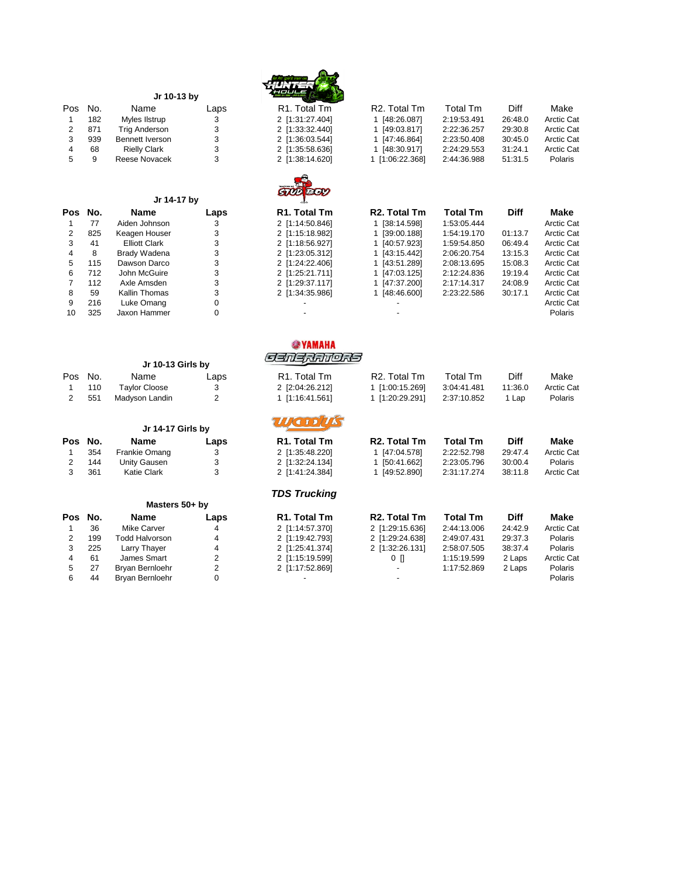| Jr 10-13 by<br>Pos<br>No.<br>Name<br>R <sub>1</sub> . Total Tm<br>R <sub>2</sub> . Total Tm<br><b>Total Tm</b><br>Diff<br>Laps<br>182<br>Myles Ilstrup<br>3<br>2 [1:31:27.404]<br>1 [48:26.087]<br>2:19:53.491<br>26:48.0<br><b>Arctic Cat</b><br>$\mathbf{1}$<br>3<br>$\overline{2}$<br>871<br><b>Trig Anderson</b><br>1 [49:03.817]<br>2:22:36.257<br>29:30.8<br><b>Arctic Cat</b><br>2 [1:33:32.440]<br>3<br>939<br>3<br><b>Bennett Iverson</b><br>2 [1:36:03.544]<br>1 [47:46.864]<br>2:23:50.408<br>30:45.0<br>4<br>68<br>3<br><b>Rielly Clark</b><br>2 [1:35:58.636]<br>1 [48:30.917]<br>2:24:29.553<br>31:24.1<br>5<br>9<br>Reese Novacek<br>3<br>51:31.5<br>2 [1:38:14.620]<br>1 [1:06:22.368]<br>2:44:36.988<br>Jr 14-17 by<br>No.<br>R1. Total Tm<br>R <sub>2</sub> . Total Tm<br><b>Total Tm</b><br><b>Diff</b><br>Pos<br><b>Name</b><br>Laps<br>3<br>1 [38:14.598]<br>1:53:05.444<br>77<br>Aiden Johnson<br>2 [1:14:50.846]<br>$\mathbf{1}$<br>$\overline{2}$<br>825<br>3<br>1 [39:00.188]<br><b>Arctic Cat</b><br>Keagen Houser<br>2 [1:15:18.982]<br>1:54:19.170<br>01:13.7<br>3<br><b>Elliott Clark</b><br>3<br>06:49.4<br>41<br>2 [1:18:56.927]<br>1 [40:57.923]<br>1:59:54.850<br>3<br>4<br>8<br><b>Brady Wadena</b><br>2 [1:23:05.312]<br>2:06:20.754<br>13:15.3<br><b>Arctic Cat</b><br>1 [43:15.442]<br>3<br>5<br>115<br>Dawson Darco<br>2 [1:24:22.406]<br>1 [43:51.289]<br>2:08:13.695<br>15:08.3<br><b>Arctic Cat</b><br>6<br>3<br>712<br>John McGuire<br>2 [1:25:21.711]<br>1 [47:03.125]<br>2:12:24.836<br>19:19.4<br><b>Arctic Cat</b><br>$\overline{7}$<br>112<br>3<br>Axle Amsden<br>2 [1:29:37.117]<br>1 [47:37.200]<br>2:17:14.317<br>24:08.9<br><b>Arctic Cat</b><br>8<br>59<br>3<br>1 [48:46.600]<br><b>Arctic Cat</b><br><b>Kallin Thomas</b><br>2 [1:34:35.986]<br>2:23:22.586<br>30:17.1<br>9<br>216<br>Luke Omang<br>0<br>325<br>0<br>10<br>Jaxon Hammer<br><b>@YAMAHA</b><br><i>Sanaranors</i><br>Jr 10-13 Girls by<br>R <sub>1</sub> . Total Tm<br><b>Total Tm</b><br><b>Diff</b><br>Pos<br>No.<br>Name<br>R <sub>2</sub> . Total Tm<br>Make<br>Laps<br>11:36.0<br><b>Arctic Cat</b><br>110<br><b>Taylor Cloose</b><br>3<br>2 [2:04:26.212]<br>1 [1:00:15.269]<br>3:04:41.481<br>$\mathbf{1}$<br>2<br>$\overline{2}$<br>551<br>Madyson Landin<br>1 [1:16:41.561]<br>1 [1:20:29.291]<br>2:37:10.852<br>1 Lap<br>Polaris<br><b>TETP</b><br>Jr 14-17 Girls by<br><b>Name</b><br>R <sub>1</sub> . Total Tm<br>R <sub>2</sub> . Total Tm<br><b>Total Tm</b><br><b>Diff</b><br>Pos<br>No.<br>Laps<br>354<br>2 [1:35:48.220]<br>1 [47:04.578]<br>2:22:52.798<br>$\mathbf{1}$<br>Frankie Omang<br>3<br>29:47.4<br>3<br>$\overline{2}$<br>144<br><b>Unity Gausen</b><br>2 [1:32:24.134]<br>1 [50:41.662]<br>2:23:05.796<br>30:00.4<br>3<br>361<br><b>Katie Clark</b><br>3<br>2 [1:41:24.384]<br>1 [49:52.890]<br>2:31:17.274<br>38:11.8<br><b>TDS Trucking</b><br>Masters 50+ by<br><b>Diff</b><br>No.<br><b>Name</b><br>R <sub>1</sub> . Total Tm<br>R <sub>2</sub> . Total Tm<br><b>Total Tm</b><br>Pos<br>Laps<br>36<br><b>Mike Carver</b><br>2 [1:14:57.370]<br>2 [1:29:15.636]<br>2:44:13.006<br>24:42.9<br>$\mathbf{1}$<br>4<br>$\overline{2}$<br>199<br><b>Todd Halvorson</b><br>4<br>2 [1:29:24.638]<br>2:49:07.431<br>29:37.3<br>2 [1:19:42.793]<br>3<br>225<br>38:37.4<br>Larry Thayer<br>$\overline{4}$<br>2 [1:25:41.374]<br>2 [1:32:26.131]<br>2:58:07.505<br>4<br>James Smart<br>$\overline{c}$<br>61<br>2 [1:15:19.599]<br>$0$ $\Box$<br>1:15:19.599<br>2 Laps<br>5<br>$\overline{c}$<br>27<br>Bryan Bernloehr<br>2 [1:17:52.869]<br>1:17:52.869<br>2 Laps<br>6<br>0<br>44<br>Bryan Bernloehr |  |  |  |  |                   |
|-------------------------------------------------------------------------------------------------------------------------------------------------------------------------------------------------------------------------------------------------------------------------------------------------------------------------------------------------------------------------------------------------------------------------------------------------------------------------------------------------------------------------------------------------------------------------------------------------------------------------------------------------------------------------------------------------------------------------------------------------------------------------------------------------------------------------------------------------------------------------------------------------------------------------------------------------------------------------------------------------------------------------------------------------------------------------------------------------------------------------------------------------------------------------------------------------------------------------------------------------------------------------------------------------------------------------------------------------------------------------------------------------------------------------------------------------------------------------------------------------------------------------------------------------------------------------------------------------------------------------------------------------------------------------------------------------------------------------------------------------------------------------------------------------------------------------------------------------------------------------------------------------------------------------------------------------------------------------------------------------------------------------------------------------------------------------------------------------------------------------------------------------------------------------------------------------------------------------------------------------------------------------------------------------------------------------------------------------------------------------------------------------------------------------------------------------------------------------------------------------------------------------------------------------------------------------------------------------------------------------------------------------------------------------------------------------------------------------------------------------------------------------------------------------------------------------------------------------------------------------------------------------------------------------------------------------------------------------------------------------------------------------------------------------------------------------------------------------------------------------------------------------------------------------------------------------------------------------------------------------------------------------------------------------------------------------------------------------------------------------------------------------------------------------------------------------------------------------------------------------------------------------------------------------------------------------------------------------------------------------------------------|--|--|--|--|-------------------|
|                                                                                                                                                                                                                                                                                                                                                                                                                                                                                                                                                                                                                                                                                                                                                                                                                                                                                                                                                                                                                                                                                                                                                                                                                                                                                                                                                                                                                                                                                                                                                                                                                                                                                                                                                                                                                                                                                                                                                                                                                                                                                                                                                                                                                                                                                                                                                                                                                                                                                                                                                                                                                                                                                                                                                                                                                                                                                                                                                                                                                                                                                                                                                                                                                                                                                                                                                                                                                                                                                                                                                                                                                                           |  |  |  |  | Make              |
|                                                                                                                                                                                                                                                                                                                                                                                                                                                                                                                                                                                                                                                                                                                                                                                                                                                                                                                                                                                                                                                                                                                                                                                                                                                                                                                                                                                                                                                                                                                                                                                                                                                                                                                                                                                                                                                                                                                                                                                                                                                                                                                                                                                                                                                                                                                                                                                                                                                                                                                                                                                                                                                                                                                                                                                                                                                                                                                                                                                                                                                                                                                                                                                                                                                                                                                                                                                                                                                                                                                                                                                                                                           |  |  |  |  |                   |
|                                                                                                                                                                                                                                                                                                                                                                                                                                                                                                                                                                                                                                                                                                                                                                                                                                                                                                                                                                                                                                                                                                                                                                                                                                                                                                                                                                                                                                                                                                                                                                                                                                                                                                                                                                                                                                                                                                                                                                                                                                                                                                                                                                                                                                                                                                                                                                                                                                                                                                                                                                                                                                                                                                                                                                                                                                                                                                                                                                                                                                                                                                                                                                                                                                                                                                                                                                                                                                                                                                                                                                                                                                           |  |  |  |  |                   |
|                                                                                                                                                                                                                                                                                                                                                                                                                                                                                                                                                                                                                                                                                                                                                                                                                                                                                                                                                                                                                                                                                                                                                                                                                                                                                                                                                                                                                                                                                                                                                                                                                                                                                                                                                                                                                                                                                                                                                                                                                                                                                                                                                                                                                                                                                                                                                                                                                                                                                                                                                                                                                                                                                                                                                                                                                                                                                                                                                                                                                                                                                                                                                                                                                                                                                                                                                                                                                                                                                                                                                                                                                                           |  |  |  |  | <b>Arctic Cat</b> |
|                                                                                                                                                                                                                                                                                                                                                                                                                                                                                                                                                                                                                                                                                                                                                                                                                                                                                                                                                                                                                                                                                                                                                                                                                                                                                                                                                                                                                                                                                                                                                                                                                                                                                                                                                                                                                                                                                                                                                                                                                                                                                                                                                                                                                                                                                                                                                                                                                                                                                                                                                                                                                                                                                                                                                                                                                                                                                                                                                                                                                                                                                                                                                                                                                                                                                                                                                                                                                                                                                                                                                                                                                                           |  |  |  |  | <b>Arctic Cat</b> |
|                                                                                                                                                                                                                                                                                                                                                                                                                                                                                                                                                                                                                                                                                                                                                                                                                                                                                                                                                                                                                                                                                                                                                                                                                                                                                                                                                                                                                                                                                                                                                                                                                                                                                                                                                                                                                                                                                                                                                                                                                                                                                                                                                                                                                                                                                                                                                                                                                                                                                                                                                                                                                                                                                                                                                                                                                                                                                                                                                                                                                                                                                                                                                                                                                                                                                                                                                                                                                                                                                                                                                                                                                                           |  |  |  |  | Polaris           |
|                                                                                                                                                                                                                                                                                                                                                                                                                                                                                                                                                                                                                                                                                                                                                                                                                                                                                                                                                                                                                                                                                                                                                                                                                                                                                                                                                                                                                                                                                                                                                                                                                                                                                                                                                                                                                                                                                                                                                                                                                                                                                                                                                                                                                                                                                                                                                                                                                                                                                                                                                                                                                                                                                                                                                                                                                                                                                                                                                                                                                                                                                                                                                                                                                                                                                                                                                                                                                                                                                                                                                                                                                                           |  |  |  |  |                   |
|                                                                                                                                                                                                                                                                                                                                                                                                                                                                                                                                                                                                                                                                                                                                                                                                                                                                                                                                                                                                                                                                                                                                                                                                                                                                                                                                                                                                                                                                                                                                                                                                                                                                                                                                                                                                                                                                                                                                                                                                                                                                                                                                                                                                                                                                                                                                                                                                                                                                                                                                                                                                                                                                                                                                                                                                                                                                                                                                                                                                                                                                                                                                                                                                                                                                                                                                                                                                                                                                                                                                                                                                                                           |  |  |  |  |                   |
|                                                                                                                                                                                                                                                                                                                                                                                                                                                                                                                                                                                                                                                                                                                                                                                                                                                                                                                                                                                                                                                                                                                                                                                                                                                                                                                                                                                                                                                                                                                                                                                                                                                                                                                                                                                                                                                                                                                                                                                                                                                                                                                                                                                                                                                                                                                                                                                                                                                                                                                                                                                                                                                                                                                                                                                                                                                                                                                                                                                                                                                                                                                                                                                                                                                                                                                                                                                                                                                                                                                                                                                                                                           |  |  |  |  |                   |
|                                                                                                                                                                                                                                                                                                                                                                                                                                                                                                                                                                                                                                                                                                                                                                                                                                                                                                                                                                                                                                                                                                                                                                                                                                                                                                                                                                                                                                                                                                                                                                                                                                                                                                                                                                                                                                                                                                                                                                                                                                                                                                                                                                                                                                                                                                                                                                                                                                                                                                                                                                                                                                                                                                                                                                                                                                                                                                                                                                                                                                                                                                                                                                                                                                                                                                                                                                                                                                                                                                                                                                                                                                           |  |  |  |  | Make              |
|                                                                                                                                                                                                                                                                                                                                                                                                                                                                                                                                                                                                                                                                                                                                                                                                                                                                                                                                                                                                                                                                                                                                                                                                                                                                                                                                                                                                                                                                                                                                                                                                                                                                                                                                                                                                                                                                                                                                                                                                                                                                                                                                                                                                                                                                                                                                                                                                                                                                                                                                                                                                                                                                                                                                                                                                                                                                                                                                                                                                                                                                                                                                                                                                                                                                                                                                                                                                                                                                                                                                                                                                                                           |  |  |  |  | <b>Arctic Cat</b> |
|                                                                                                                                                                                                                                                                                                                                                                                                                                                                                                                                                                                                                                                                                                                                                                                                                                                                                                                                                                                                                                                                                                                                                                                                                                                                                                                                                                                                                                                                                                                                                                                                                                                                                                                                                                                                                                                                                                                                                                                                                                                                                                                                                                                                                                                                                                                                                                                                                                                                                                                                                                                                                                                                                                                                                                                                                                                                                                                                                                                                                                                                                                                                                                                                                                                                                                                                                                                                                                                                                                                                                                                                                                           |  |  |  |  |                   |
|                                                                                                                                                                                                                                                                                                                                                                                                                                                                                                                                                                                                                                                                                                                                                                                                                                                                                                                                                                                                                                                                                                                                                                                                                                                                                                                                                                                                                                                                                                                                                                                                                                                                                                                                                                                                                                                                                                                                                                                                                                                                                                                                                                                                                                                                                                                                                                                                                                                                                                                                                                                                                                                                                                                                                                                                                                                                                                                                                                                                                                                                                                                                                                                                                                                                                                                                                                                                                                                                                                                                                                                                                                           |  |  |  |  | <b>Arctic Cat</b> |
|                                                                                                                                                                                                                                                                                                                                                                                                                                                                                                                                                                                                                                                                                                                                                                                                                                                                                                                                                                                                                                                                                                                                                                                                                                                                                                                                                                                                                                                                                                                                                                                                                                                                                                                                                                                                                                                                                                                                                                                                                                                                                                                                                                                                                                                                                                                                                                                                                                                                                                                                                                                                                                                                                                                                                                                                                                                                                                                                                                                                                                                                                                                                                                                                                                                                                                                                                                                                                                                                                                                                                                                                                                           |  |  |  |  |                   |
|                                                                                                                                                                                                                                                                                                                                                                                                                                                                                                                                                                                                                                                                                                                                                                                                                                                                                                                                                                                                                                                                                                                                                                                                                                                                                                                                                                                                                                                                                                                                                                                                                                                                                                                                                                                                                                                                                                                                                                                                                                                                                                                                                                                                                                                                                                                                                                                                                                                                                                                                                                                                                                                                                                                                                                                                                                                                                                                                                                                                                                                                                                                                                                                                                                                                                                                                                                                                                                                                                                                                                                                                                                           |  |  |  |  |                   |
|                                                                                                                                                                                                                                                                                                                                                                                                                                                                                                                                                                                                                                                                                                                                                                                                                                                                                                                                                                                                                                                                                                                                                                                                                                                                                                                                                                                                                                                                                                                                                                                                                                                                                                                                                                                                                                                                                                                                                                                                                                                                                                                                                                                                                                                                                                                                                                                                                                                                                                                                                                                                                                                                                                                                                                                                                                                                                                                                                                                                                                                                                                                                                                                                                                                                                                                                                                                                                                                                                                                                                                                                                                           |  |  |  |  |                   |
|                                                                                                                                                                                                                                                                                                                                                                                                                                                                                                                                                                                                                                                                                                                                                                                                                                                                                                                                                                                                                                                                                                                                                                                                                                                                                                                                                                                                                                                                                                                                                                                                                                                                                                                                                                                                                                                                                                                                                                                                                                                                                                                                                                                                                                                                                                                                                                                                                                                                                                                                                                                                                                                                                                                                                                                                                                                                                                                                                                                                                                                                                                                                                                                                                                                                                                                                                                                                                                                                                                                                                                                                                                           |  |  |  |  |                   |
|                                                                                                                                                                                                                                                                                                                                                                                                                                                                                                                                                                                                                                                                                                                                                                                                                                                                                                                                                                                                                                                                                                                                                                                                                                                                                                                                                                                                                                                                                                                                                                                                                                                                                                                                                                                                                                                                                                                                                                                                                                                                                                                                                                                                                                                                                                                                                                                                                                                                                                                                                                                                                                                                                                                                                                                                                                                                                                                                                                                                                                                                                                                                                                                                                                                                                                                                                                                                                                                                                                                                                                                                                                           |  |  |  |  | <b>Arctic Cat</b> |
|                                                                                                                                                                                                                                                                                                                                                                                                                                                                                                                                                                                                                                                                                                                                                                                                                                                                                                                                                                                                                                                                                                                                                                                                                                                                                                                                                                                                                                                                                                                                                                                                                                                                                                                                                                                                                                                                                                                                                                                                                                                                                                                                                                                                                                                                                                                                                                                                                                                                                                                                                                                                                                                                                                                                                                                                                                                                                                                                                                                                                                                                                                                                                                                                                                                                                                                                                                                                                                                                                                                                                                                                                                           |  |  |  |  | Polaris           |
|                                                                                                                                                                                                                                                                                                                                                                                                                                                                                                                                                                                                                                                                                                                                                                                                                                                                                                                                                                                                                                                                                                                                                                                                                                                                                                                                                                                                                                                                                                                                                                                                                                                                                                                                                                                                                                                                                                                                                                                                                                                                                                                                                                                                                                                                                                                                                                                                                                                                                                                                                                                                                                                                                                                                                                                                                                                                                                                                                                                                                                                                                                                                                                                                                                                                                                                                                                                                                                                                                                                                                                                                                                           |  |  |  |  |                   |
|                                                                                                                                                                                                                                                                                                                                                                                                                                                                                                                                                                                                                                                                                                                                                                                                                                                                                                                                                                                                                                                                                                                                                                                                                                                                                                                                                                                                                                                                                                                                                                                                                                                                                                                                                                                                                                                                                                                                                                                                                                                                                                                                                                                                                                                                                                                                                                                                                                                                                                                                                                                                                                                                                                                                                                                                                                                                                                                                                                                                                                                                                                                                                                                                                                                                                                                                                                                                                                                                                                                                                                                                                                           |  |  |  |  |                   |
|                                                                                                                                                                                                                                                                                                                                                                                                                                                                                                                                                                                                                                                                                                                                                                                                                                                                                                                                                                                                                                                                                                                                                                                                                                                                                                                                                                                                                                                                                                                                                                                                                                                                                                                                                                                                                                                                                                                                                                                                                                                                                                                                                                                                                                                                                                                                                                                                                                                                                                                                                                                                                                                                                                                                                                                                                                                                                                                                                                                                                                                                                                                                                                                                                                                                                                                                                                                                                                                                                                                                                                                                                                           |  |  |  |  |                   |
|                                                                                                                                                                                                                                                                                                                                                                                                                                                                                                                                                                                                                                                                                                                                                                                                                                                                                                                                                                                                                                                                                                                                                                                                                                                                                                                                                                                                                                                                                                                                                                                                                                                                                                                                                                                                                                                                                                                                                                                                                                                                                                                                                                                                                                                                                                                                                                                                                                                                                                                                                                                                                                                                                                                                                                                                                                                                                                                                                                                                                                                                                                                                                                                                                                                                                                                                                                                                                                                                                                                                                                                                                                           |  |  |  |  |                   |
|                                                                                                                                                                                                                                                                                                                                                                                                                                                                                                                                                                                                                                                                                                                                                                                                                                                                                                                                                                                                                                                                                                                                                                                                                                                                                                                                                                                                                                                                                                                                                                                                                                                                                                                                                                                                                                                                                                                                                                                                                                                                                                                                                                                                                                                                                                                                                                                                                                                                                                                                                                                                                                                                                                                                                                                                                                                                                                                                                                                                                                                                                                                                                                                                                                                                                                                                                                                                                                                                                                                                                                                                                                           |  |  |  |  |                   |
|                                                                                                                                                                                                                                                                                                                                                                                                                                                                                                                                                                                                                                                                                                                                                                                                                                                                                                                                                                                                                                                                                                                                                                                                                                                                                                                                                                                                                                                                                                                                                                                                                                                                                                                                                                                                                                                                                                                                                                                                                                                                                                                                                                                                                                                                                                                                                                                                                                                                                                                                                                                                                                                                                                                                                                                                                                                                                                                                                                                                                                                                                                                                                                                                                                                                                                                                                                                                                                                                                                                                                                                                                                           |  |  |  |  |                   |
|                                                                                                                                                                                                                                                                                                                                                                                                                                                                                                                                                                                                                                                                                                                                                                                                                                                                                                                                                                                                                                                                                                                                                                                                                                                                                                                                                                                                                                                                                                                                                                                                                                                                                                                                                                                                                                                                                                                                                                                                                                                                                                                                                                                                                                                                                                                                                                                                                                                                                                                                                                                                                                                                                                                                                                                                                                                                                                                                                                                                                                                                                                                                                                                                                                                                                                                                                                                                                                                                                                                                                                                                                                           |  |  |  |  |                   |
|                                                                                                                                                                                                                                                                                                                                                                                                                                                                                                                                                                                                                                                                                                                                                                                                                                                                                                                                                                                                                                                                                                                                                                                                                                                                                                                                                                                                                                                                                                                                                                                                                                                                                                                                                                                                                                                                                                                                                                                                                                                                                                                                                                                                                                                                                                                                                                                                                                                                                                                                                                                                                                                                                                                                                                                                                                                                                                                                                                                                                                                                                                                                                                                                                                                                                                                                                                                                                                                                                                                                                                                                                                           |  |  |  |  |                   |
|                                                                                                                                                                                                                                                                                                                                                                                                                                                                                                                                                                                                                                                                                                                                                                                                                                                                                                                                                                                                                                                                                                                                                                                                                                                                                                                                                                                                                                                                                                                                                                                                                                                                                                                                                                                                                                                                                                                                                                                                                                                                                                                                                                                                                                                                                                                                                                                                                                                                                                                                                                                                                                                                                                                                                                                                                                                                                                                                                                                                                                                                                                                                                                                                                                                                                                                                                                                                                                                                                                                                                                                                                                           |  |  |  |  | <b>Make</b>       |
|                                                                                                                                                                                                                                                                                                                                                                                                                                                                                                                                                                                                                                                                                                                                                                                                                                                                                                                                                                                                                                                                                                                                                                                                                                                                                                                                                                                                                                                                                                                                                                                                                                                                                                                                                                                                                                                                                                                                                                                                                                                                                                                                                                                                                                                                                                                                                                                                                                                                                                                                                                                                                                                                                                                                                                                                                                                                                                                                                                                                                                                                                                                                                                                                                                                                                                                                                                                                                                                                                                                                                                                                                                           |  |  |  |  | <b>Arctic Cat</b> |
|                                                                                                                                                                                                                                                                                                                                                                                                                                                                                                                                                                                                                                                                                                                                                                                                                                                                                                                                                                                                                                                                                                                                                                                                                                                                                                                                                                                                                                                                                                                                                                                                                                                                                                                                                                                                                                                                                                                                                                                                                                                                                                                                                                                                                                                                                                                                                                                                                                                                                                                                                                                                                                                                                                                                                                                                                                                                                                                                                                                                                                                                                                                                                                                                                                                                                                                                                                                                                                                                                                                                                                                                                                           |  |  |  |  | Polaris           |
|                                                                                                                                                                                                                                                                                                                                                                                                                                                                                                                                                                                                                                                                                                                                                                                                                                                                                                                                                                                                                                                                                                                                                                                                                                                                                                                                                                                                                                                                                                                                                                                                                                                                                                                                                                                                                                                                                                                                                                                                                                                                                                                                                                                                                                                                                                                                                                                                                                                                                                                                                                                                                                                                                                                                                                                                                                                                                                                                                                                                                                                                                                                                                                                                                                                                                                                                                                                                                                                                                                                                                                                                                                           |  |  |  |  | <b>Arctic Cat</b> |
|                                                                                                                                                                                                                                                                                                                                                                                                                                                                                                                                                                                                                                                                                                                                                                                                                                                                                                                                                                                                                                                                                                                                                                                                                                                                                                                                                                                                                                                                                                                                                                                                                                                                                                                                                                                                                                                                                                                                                                                                                                                                                                                                                                                                                                                                                                                                                                                                                                                                                                                                                                                                                                                                                                                                                                                                                                                                                                                                                                                                                                                                                                                                                                                                                                                                                                                                                                                                                                                                                                                                                                                                                                           |  |  |  |  |                   |
|                                                                                                                                                                                                                                                                                                                                                                                                                                                                                                                                                                                                                                                                                                                                                                                                                                                                                                                                                                                                                                                                                                                                                                                                                                                                                                                                                                                                                                                                                                                                                                                                                                                                                                                                                                                                                                                                                                                                                                                                                                                                                                                                                                                                                                                                                                                                                                                                                                                                                                                                                                                                                                                                                                                                                                                                                                                                                                                                                                                                                                                                                                                                                                                                                                                                                                                                                                                                                                                                                                                                                                                                                                           |  |  |  |  |                   |
|                                                                                                                                                                                                                                                                                                                                                                                                                                                                                                                                                                                                                                                                                                                                                                                                                                                                                                                                                                                                                                                                                                                                                                                                                                                                                                                                                                                                                                                                                                                                                                                                                                                                                                                                                                                                                                                                                                                                                                                                                                                                                                                                                                                                                                                                                                                                                                                                                                                                                                                                                                                                                                                                                                                                                                                                                                                                                                                                                                                                                                                                                                                                                                                                                                                                                                                                                                                                                                                                                                                                                                                                                                           |  |  |  |  | Make              |
|                                                                                                                                                                                                                                                                                                                                                                                                                                                                                                                                                                                                                                                                                                                                                                                                                                                                                                                                                                                                                                                                                                                                                                                                                                                                                                                                                                                                                                                                                                                                                                                                                                                                                                                                                                                                                                                                                                                                                                                                                                                                                                                                                                                                                                                                                                                                                                                                                                                                                                                                                                                                                                                                                                                                                                                                                                                                                                                                                                                                                                                                                                                                                                                                                                                                                                                                                                                                                                                                                                                                                                                                                                           |  |  |  |  | <b>Arctic Cat</b> |
|                                                                                                                                                                                                                                                                                                                                                                                                                                                                                                                                                                                                                                                                                                                                                                                                                                                                                                                                                                                                                                                                                                                                                                                                                                                                                                                                                                                                                                                                                                                                                                                                                                                                                                                                                                                                                                                                                                                                                                                                                                                                                                                                                                                                                                                                                                                                                                                                                                                                                                                                                                                                                                                                                                                                                                                                                                                                                                                                                                                                                                                                                                                                                                                                                                                                                                                                                                                                                                                                                                                                                                                                                                           |  |  |  |  | Polaris           |
|                                                                                                                                                                                                                                                                                                                                                                                                                                                                                                                                                                                                                                                                                                                                                                                                                                                                                                                                                                                                                                                                                                                                                                                                                                                                                                                                                                                                                                                                                                                                                                                                                                                                                                                                                                                                                                                                                                                                                                                                                                                                                                                                                                                                                                                                                                                                                                                                                                                                                                                                                                                                                                                                                                                                                                                                                                                                                                                                                                                                                                                                                                                                                                                                                                                                                                                                                                                                                                                                                                                                                                                                                                           |  |  |  |  | Polaris           |
|                                                                                                                                                                                                                                                                                                                                                                                                                                                                                                                                                                                                                                                                                                                                                                                                                                                                                                                                                                                                                                                                                                                                                                                                                                                                                                                                                                                                                                                                                                                                                                                                                                                                                                                                                                                                                                                                                                                                                                                                                                                                                                                                                                                                                                                                                                                                                                                                                                                                                                                                                                                                                                                                                                                                                                                                                                                                                                                                                                                                                                                                                                                                                                                                                                                                                                                                                                                                                                                                                                                                                                                                                                           |  |  |  |  | <b>Arctic Cat</b> |
|                                                                                                                                                                                                                                                                                                                                                                                                                                                                                                                                                                                                                                                                                                                                                                                                                                                                                                                                                                                                                                                                                                                                                                                                                                                                                                                                                                                                                                                                                                                                                                                                                                                                                                                                                                                                                                                                                                                                                                                                                                                                                                                                                                                                                                                                                                                                                                                                                                                                                                                                                                                                                                                                                                                                                                                                                                                                                                                                                                                                                                                                                                                                                                                                                                                                                                                                                                                                                                                                                                                                                                                                                                           |  |  |  |  | Polaris           |
|                                                                                                                                                                                                                                                                                                                                                                                                                                                                                                                                                                                                                                                                                                                                                                                                                                                                                                                                                                                                                                                                                                                                                                                                                                                                                                                                                                                                                                                                                                                                                                                                                                                                                                                                                                                                                                                                                                                                                                                                                                                                                                                                                                                                                                                                                                                                                                                                                                                                                                                                                                                                                                                                                                                                                                                                                                                                                                                                                                                                                                                                                                                                                                                                                                                                                                                                                                                                                                                                                                                                                                                                                                           |  |  |  |  | Polaris           |